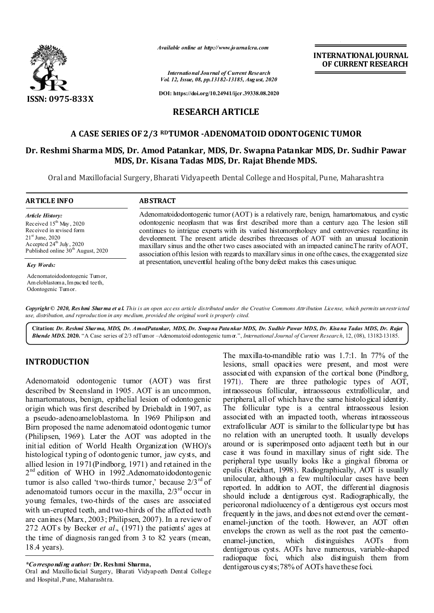

*Available online at http://www.journalcra.com*

*International Journal of Current Research Vol. 12, Issue, 08, pp.13182-13185, August, 2020*

**DOI: https://doi.org/10.24941/ijcr.39338.08.2020**

# **RESEARCH ARTICLE**

## **A CASE SERIES OF 2/3 RDTUMOR -ADENOMATOID ODONTOGENIC TUMOR**

# **Dr. Reshmi Sharma MDS, Dr. Amod Patankar, MDS, Dr. Swapna Patankar MDS, Dr. Sudhir Pawar MDS, Dr. Kisana Tadas MDS, Dr. Rajat Bhende MDS.**

Oral and Maxillofacial Surgery, Bharati Vidyapeeth Dental College and Hospital, Pune, Maharashtra

| <b>ARTICLE INFO</b>                                                                                                                                                                                       | <b>ABSTRACT</b>                                                                                                                                                                                                                                                                                                                                                                                                                                                                                                                                                                              |
|-----------------------------------------------------------------------------------------------------------------------------------------------------------------------------------------------------------|----------------------------------------------------------------------------------------------------------------------------------------------------------------------------------------------------------------------------------------------------------------------------------------------------------------------------------------------------------------------------------------------------------------------------------------------------------------------------------------------------------------------------------------------------------------------------------------------|
| <b>Article History:</b><br>Received $15th$ May, 2020<br>Received in revised form<br>$21^{\text{st}}$ June, 2020<br>Accepted 24 <sup>th</sup> July, 2020<br>Published online 30 <sup>th</sup> August, 2020 | Adenomatoidodontogenic tumor (AOT) is a relatively rare, benign, hamartomatous, and cystic<br>odontogenic neoplasm that was first described more than a century ago. The lesion still<br>continues to intrigue experts with its varied histomorphology and controversies regarding its<br>development. The present article describes threecases of AOT with an unusual location in<br>maxillary sinus and the other two cases associated with an impacted canine. The rarity of AOT,<br>association of this lesion with regards to maxillary sinus in one of the cases, the exaggerated size |
| <b>Key Words:</b>                                                                                                                                                                                         | at presentation, uneventful healing of the bony defect makes this cases unique.                                                                                                                                                                                                                                                                                                                                                                                                                                                                                                              |
| Adenomatoidodontogenic Tumor,<br>Ameloblastoma, Impacted teeth,<br>Odontogenic Tumor.                                                                                                                     |                                                                                                                                                                                                                                                                                                                                                                                                                                                                                                                                                                                              |

Copyright © 2020, Reshmi Sharma et al. This is an open access article distributed under the Creative Commons Attribution License, which permits un restricted *use, distribution, and reproduction in any medium, provided the original work is properly cited.*

**Citation:** *Dr. Reshmi Sharma, MDS, Dr. AmodPatankar, MDS, Dr. Swapna Patankar MDS, Dr. Sudhir Pawar MDS, Dr. Kisana Tadas MDS, Dr. Rajat Bhende MDS.* **2020.** "A Case series of 2/3 rdTumor –Adenomatoid odontogenic tumor.", *International Journal of Current Research*, 12, (08), 13182-13185.

# **INTRODUCTION**

Adenomatoid odontogenic tumor (AOT) was first described by Steensland in 1905. AOT is an uncommon, hamartomatous, benign, epithelial lesion of odontogenic origin which was first described by Driebaldt in 1907, as a pseudo-adenoameloblastoma. In 1969 Philipson and Birn proposed the name adenomatoid odontogenic tumor (Philipsen, 1969). Later the AOT was adopted in the initial edition of World Health Organization (WHO)'s histological typing of odontogenic tumor, jaw cysts, and allied lesion in 1971(Pindborg, 1971) and retained in the  $2<sup>nd</sup>$  edition of WHO in 1992. Adenomatoidodontogenic tumor is also called 'two-thirds tumor,' because  $2/\overline{3}^{rd}$  of adenomatoid tumors occur in the maxilla,  $2/3^{rd}$  occur in young females, two-thirds of the cases are associated with un-erupted teeth, and two-thirds of the affected teeth are canines (Marx, 2003; Philipsen, 2007). In a review of 272 AOTs by Becker *et al*., (1971) the patients' ages at the time of diagnosis ranged from 3 to 82 years (mean, 18.4 years).

*\*Corresponding author:* **Dr. Reshmi Sharma,**

Oral and Maxillofacial Surgery, Bharati Vidyapeeth Dental College and Hospital, Pune, Maharashtra.

The maxilla-to-mandible ratio was 1.7:1. In 77% of the lesions, small opacities were present, and most were associated with expansion of the cortical bone (Pindborg, 1971). There are three pathologic types of AOT, intraosseous follicular, intraosseous extrafollicular, and peripheral, all of which have the same histological identity. The follicular type is a central intraosseous lesion associated with an impacted tooth, whereas intraosseous extrafollicular AOT is similar to the follicular type but has no relation with an unerupted tooth. It usually develops around or is superimposed onto adjacent teeth but in our case it was found in maxillary sinus of right side. The peripheral type usually looks like a gingival fibroma or epulis (Reichart, 1998). Radiographically, AOT is usually unilocular, although a few multilocular cases have been reported. In addition to AOT, the differential diagnosis should include a dentigerous cyst. Radiographically, the pericoronal radiolucency of a dentigerous cyst occurs most frequently in the jaws, and does not extend over the cementenamel-junction of the tooth. However, an AOT often envelops the crown as well as the root past the cemento-<br>enamel-junction, which distinguishes AOTs from enamel-junction, which distinguishes AOTs from dentigerous cysts. AOTs have numerous, variable-shaped radiopaque foci, which also distinguish them from dentigerous cysts; 78% of AOTs have these foci.

**INTERNATIONAL JOURNAL OF CURRENT RESEARCH**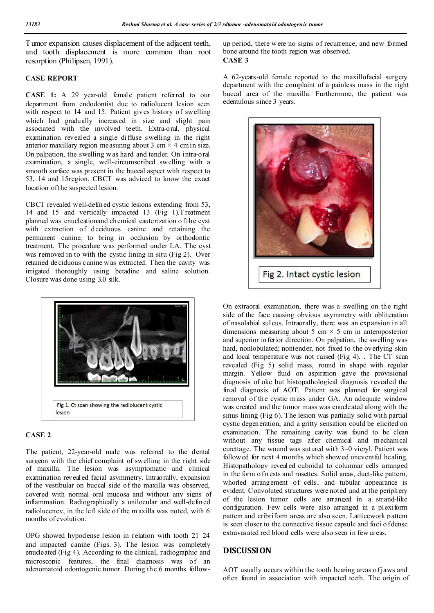Tumor expansion causes displacement of the adjacent teeth, and tooth displacement is more common than root resorption (Philipsen, 1991).

### **CASE REPORT**

**CASE 1:** A 29 year-old female patient referred to our department from endodontist due to radiolucent lesion seen with respect to 14 and 15. Patient gives history of swelling which had gradually increased in size and slight pain associated with the involved teeth. Extra-oral, physical examination revealed a single diffuse swelling in the right anterior maxillary region measuring about 3 cm  $\times$  4 cm in size. On palpation, the swelling w as hard and tender. On intra-oral examination, a single, well-circumscribed swelling with a smooth surface was present in the buccal aspect with respect to 53, 14 and 15region. CBCT was adviced to know the exact location of the suspected lesion.

CBCT revealed well-defined cystic lesions extending from 53, 14 and 15 and vertically impacted 13 (Fig 1).T reatment planned was enucleationand chemical cauterization o f the cyst with extraction of deciduous canine and retaining the permanent canine, to bring in occlusion by orthodontic treatment. The procedure was performed under LA. The cyst was removed in to with the cystic lining in situ (Fig 2). Over retained deciduous canine w as extracted. Then the cavity was irrigated thoroughly using betadine and saline solution. Closure was done using 3.0 silk.



### **CASE 2**

The patient, 22-year-old male was referred to the dental surgeon with the chief complaint of swelling in the right side of maxilla. The lesion was asymptomatic and clinical examination revealed facial asymmetry. Intraorally, expansion of the vestibular on buccal side of the maxilla was observed, covered with normal oral mucosa and without any signs of inflammation. Radiographically a unilocular and well-defined radiolucency, in the left side of the m axilla was noted, with 6 months of evolution.

OPG showed hypodense lesion in relation with tooth 21–24 and impacted canine (Figs. 3). The lesion was completely enucleated (Fig 4). According to the clinical, radiographic and microscopic features, the final diagnosis was of an adenomatoid odontogenic tumor. During the 6 months followup period, there w ere no signs of recurrence, and new formed bone around the tooth region was observed. **CASE 3**

A 62-years-old female reported to the maxillofacial surgery department with the complaint of a painless mass in the right buccal area of the maxilla. Furthermore, the patient was edentulous since 3 years.



On extraoral examination, there was a swelling on the right side of the face causing obvious asymmetry with obliteration of nasolabial sul cus. Intraorally, there was an expansion in all dimensions measuring about 5 cm  $\times$  5 cm in anteroposterior and superior inferior direction. On palpation, the swelling was hard, nonlobulated; nontender, not fixed to the overlying skin and local temperature was not raised (Fig 4). . The CT scan revealed (Fig 5) solid mass, round in shape with regular margin. Yellow fluid on aspiration gave the provisional diagnosis of okc but histopathological diagnosis revealed the final diagnosis of AOT. Patient was planned for surgical removal of the cystic mass under GA. An adequate window was created and the tumor mass was enucleated along with the sinus lining (Fig 6). The lesion was partially solid with partial cystic degeneration, and a gritty sensation could be elicited on examination. The remaining cavity was found to be clean without any tissue tags after chemical and mechanical curettage. The wound was sutured with 3–0 vicryl. Patient was followed for next 4 months which showed uneventful healing. Histopathology revealed cuboidal to columnar cells arranged in the form o fn ests and rosettes. Solid areas, duct-like pattern, whorled arrangement of cells, and tubular appearance is evident. Convoluted structures were noted and at the periphery of the lesion tumor cells are arranged in a strand-like configuration. Few cells were also arranged in a plexiform pattem and cribriform areas are also seen. Latticework pattem is seen closer to the connective tissue capsule and foci o f dense extravasated red blood cells were also seen in few areas.

## **DISCUSSION**

AOT usually occurs within the tooth bearing areas of jaws and often found in association with impacted teeth. The origin of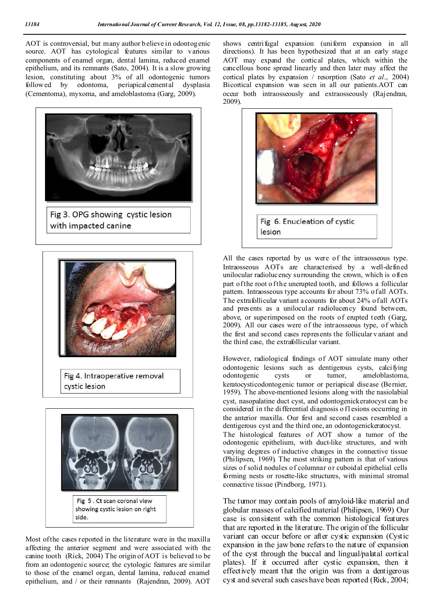AOT is controversial, but many author b elieve in odontogenic source. AOT has cytological features similar to various components of enamel organ, dental lamina, reduced enamel epithelium, and its remnants (Sato, 2004). It is a slow growing lesion, constituting about 3% of all odontogenic tumors followed by odontoma, periapical cemental dysplasia (Cementoma), myxoma, and ameloblastoma (Garg, 2009).



Most of the cases reported in the literature were in the maxilla affecting the anterior segment and were associated with the canine tooth (Rick, 2004) The origin of AOT is believed to be from an odontogenic source; the cytologic features are similar to those of the enamel organ, dental lamina, reduced enamel epithelium, and / or their remnants (Rajendran, 2009). AOT

shows centrifugal expansion (uniform expansion in all directions). It has been hypothesized that at an early stage AOT may expand the cortical plates, which within the cancellous bone spread linearly and then later may affect the cortical plates by expansion / resorption (Sato *et al*., 2004) Bicortical expansion was seen in all our patients.AOT can occur both intraosseously and extraosseously (Rajendran, 2009).



All the cases reported by us were of the intraosseous type. Intraosseous AOTs are characterised by a well-defined unilocular radiolucency surrounding the crown, which is often part of the root of the unerupted tooth, and follows a follicular pattern. Intraosseous type accounts for about 73% of all AOTs. The extrafollicular variant accounts for about 24% of all AOTs and presents as a unilocular radiolucency found between, above, or superimposed on the roots of erupted teeth (Garg, 2009). All our cases were of the intraosseous type, of which the first and second cases represents the follicular v ariant and the third case, the extrafollicular variant.

However, radiological findings of AOT simulate many other odontogenic lesions such as dentigerous cysts, calcifying odontogenic cysts or tumor, ameloblastoma, keratocysticodontogenic tumor or periapical disease (Bernier, 1959). The above-mentioned lesions along with the nasiolabial cyst, nasopalatine duct cyst, and odontogenickeratocyst can b e considered in the di fferential diagnosis of l esions occurring in the anterior maxilla. Our first and second cases resembled a dentigerous cyst and the third one, an odontogenickeratocyst. The histological features of AOT show a tumor of the odontogenic epithelium, with duct-like structures, and with varying degrees of inductive changes in the connective tissue (Philipsen, 1969). The most striking pattem is that of various sizes of solid nodules of columnar or cuboidal epithelial cells forming nests or rosette-like structures, with minimal stromal connective tissue (Pindborg, 1971).

The tumor may contain pools of amyloid-like material and globular masses of calcified material (Philipsen, 1969) Our case is consistent with the common histological features that are reported in the literature. The origin of the follicular variant can occur before or after cystic expansion (Cystic expansion in the jaw bone refers to the nature of expansion of the cyst through the buccal and lingual/palatal cortical plates). If it occurred after cystic expansion, then it effectively meant that the origin was from a dentigerous cyst and several such cases have been reported (Rick, 2004;